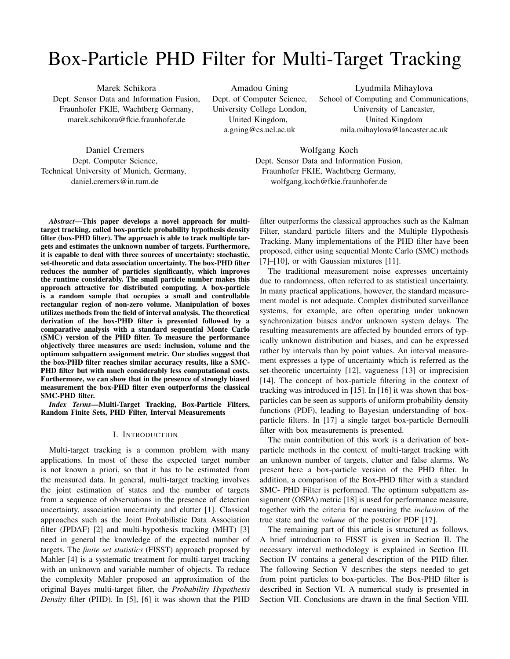# Box-Particle PHD Filter for Multi-Target Tracking

Marek Schikora Dept. Sensor Data and Information Fusion, Fraunhofer FKIE, Wachtberg Germany, marek.schikora@fkie.fraunhofer.de

Daniel Cremers Dept. Computer Science, Technical University of Munich, Germany, daniel.cremers@in.tum.de

Amadou Gning Dept. of Computer Science, University College London, United Kingdom, a.gning@cs.ucl.ac.uk

Lyudmila Mihaylova School of Computing and Communications, University of Lancaster, United Kingdom mila.mihaylova@lancaster.ac.uk

Wolfgang Koch Dept. Sensor Data and Information Fusion, Fraunhofer FKIE, Wachtberg Germany, wolfgang.koch@fkie.fraunhofer.de

*Abstract*—This paper develops a novel approach for multitarget tracking, called box-particle probability hypothesis density filter (box-PHD filter). The approach is able to track multiple targets and estimates the unknown number of targets. Furthermore, it is capable to deal with three sources of uncertainty: stochastic, set-theoretic and data association uncertainty. The box-PHD filter reduces the number of particles significantly, which improves the runtime considerably. The small particle number makes this approach attractive for distributed computing. A box-particle is a random sample that occupies a small and controllable rectangular region of non-zero volume. Manipulation of boxes utilizes methods from the field of interval analysis. The theoretical derivation of the box-PHD filter is presented followed by a comparative analysis with a standard sequential Monte Carlo (SMC) version of the PHD filter. To measure the performance objectively three measures are used: inclusion, volume and the optimum subpattern assignment metric. Our studies suggest that the box-PHD filter reaches similar accuracy results, like a SMC-PHD filter but with much considerably less computational costs. Furthermore, we can show that in the presence of strongly biased measurement the box-PHD filter even outperforms the classical SMC-PHD filter.

*Index Terms*—Multi-Target Tracking, Box-Particle Filters, Random Finite Sets, PHD Filter, Interval Measurements

## I. INTRODUCTION

Multi-target tracking is a common problem with many applications. In most of these the expected target number is not known a priori, so that it has to be estimated from the measured data. In general, multi-target tracking involves the joint estimation of states and the number of targets from a sequence of observations in the presence of detection uncertainty, association uncertainty and clutter [1]. Classical approaches such as the Joint Probabilistic Data Association filter (JPDAF) [2] and multi-hypothesis tracking (MHT) [3] need in general the knowledge of the expected number of targets. The *finite set statistics* (FISST) approach proposed by Mahler [4] is a systematic treatment for multi-target tracking with an unknown and variable number of objects. To reduce the complexity Mahler proposed an approximation of the original Bayes multi-target filter, the *Probability Hypothesis Density* filter (PHD). In [5], [6] it was shown that the PHD

filter outperforms the classical approaches such as the Kalman Filter, standard particle filters and the Multiple Hypothesis Tracking. Many implementations of the PHD filter have been proposed, either using sequential Monte Carlo (SMC) methods [7]–[10], or with Gaussian mixtures [11].

The traditional measurement noise expresses uncertainty due to randomness, often referred to as statistical uncertainty. In many practical applications, however, the standard measurement model is not adequate. Complex distributed surveillance systems, for example, are often operating under unknown synchronization biases and/or unknown system delays. The resulting measurements are affected by bounded errors of typically unknown distribution and biases, and can be expressed rather by intervals than by point values. An interval measurement expresses a type of uncertainty which is referred as the set-theoretic uncertainty [12], vagueness [13] or imprecision [14]. The concept of box-particle filtering in the context of tracking was introduced in [15]. In [16] it was shown that boxparticles can be seen as supports of uniform probability density functions (PDF), leading to Bayesian understanding of boxparticle filters. In [17] a single target box-particle Bernoulli filter with box measurements is presented.

The main contribution of this work is a derivation of boxparticle methods in the context of multi-target tracking with an unknown number of targets, clutter and false alarms. We present here a box-particle version of the PHD filter. In addition, a comparison of the Box-PHD filter with a standard SMC- PHD Filter is performed. The optimum subpattern assignment (OSPA) metric [18] is used for performance measure, together with the criteria for measuring the *inclusion* of the true state and the *volume* of the posterior PDF [17].

The remaining part of this article is structured as follows. A brief introduction to FISST is given in Section II. The necessary interval methodology is explained in Section III. Section IV contains a general description of the PHD filter. The following Section V describes the steps needed to get from point particles to box-particles. The Box-PHD filter is described in Section VI. A numerical study is presented in Section VII. Conclusions are drawn in the final Section VIII.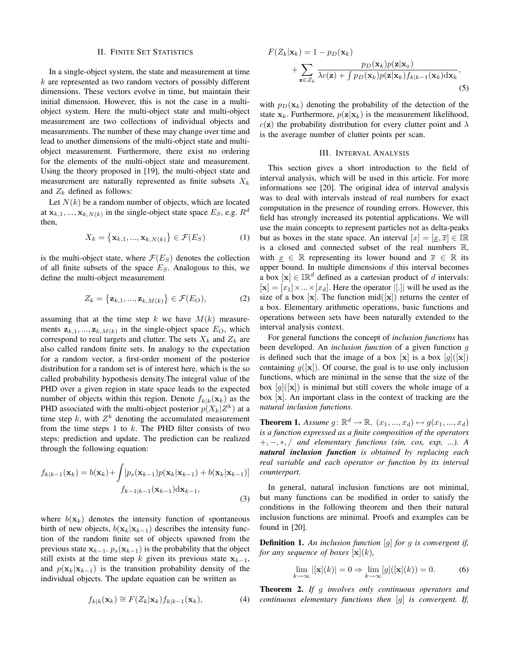#### II. FINITE SET STATISTICS

In a single-object system, the state and measurement at time  $k$  are represented as two random vectors of possibly different dimensions. These vectors evolve in time, but maintain their initial dimension. However, this is not the case in a multiobject system. Here the multi-object state and multi-object measurement are two collections of individual objects and measurements. The number of these may change over time and lead to another dimensions of the multi-object state and multiobject measurement. Furthermore, there exist no ordering for the elements of the multi-object state and measurement. Using the theory proposed in [19], the multi-object state and measurement are naturally represented as finite subsets  $X_k$ and  $Z_k$  defined as follows:

Let  $N(k)$  be a random number of objects, which are located at  $\mathbf{x}_{k,1},...,\mathbf{x}_{k,N(k)}$  in the single-object state space  $E_S$ , e.g.  $R^d$ then,

$$
X_k = \left\{ \mathbf{x}_{k,1}, \dots, \mathbf{x}_{k,N(k)} \right\} \in \mathcal{F}(E_S)
$$
 (1)

is the multi-object state, where  $\mathcal{F}(E_S)$  denotes the collection of all finite subsets of the space  $E<sub>S</sub>$ . Analogous to this, we define the multi-object measurement

$$
Z_k = \left\{ \mathbf{z}_{k,1}, \dots, \mathbf{z}_{k,M(k)} \right\} \in \mathcal{F}(E_O), \tag{2}
$$

assuming that at the time step k we have  $M(k)$  measurements  $z_{k,1},...,z_{k,M(k)}$  in the single-object space  $E_O$ , which correspond to real targets and clutter. The sets  $X_k$  and  $Z_k$  are also called random finite sets. In analogy to the expectation for a random vector, a first-order moment of the posterior distribution for a random set is of interest here, which is the so called probability hypothesis density.The integral value of the PHD over a given region in state space leads to the expected number of objects within this region. Denote  $f_{k|k}(\mathbf{x}_k)$  as the PHD associated with the multi-object posterior  $p(X_k|Z^k)$  at a time step k, with  $Z^k$  denoting the accumulated measurement from the time steps 1 to  $k$ . The PHD filter consists of two steps: prediction and update. The prediction can be realized through the following equation:

$$
f_{k|k-1}(\mathbf{x}_k) = b(\mathbf{x}_k) + \int [p_s(\mathbf{x}_{k-1})p(\mathbf{x}_k|\mathbf{x}_{k-1}) + b(\mathbf{x}_k|\mathbf{x}_{k-1})]
$$

$$
f_{k-1|k-1}(\mathbf{x}_{k-1})d\mathbf{x}_{k-1},
$$
\n(3)

where  $b(\mathbf{x}_k)$  denotes the intensity function of spontaneous birth of new objects,  $b(\mathbf{x}_k|\mathbf{x}_{k-1})$  describes the intensity function of the random finite set of objects spawned from the previous state  $x_{k-1}$ .  $p_s(x_{k-1})$  is the probability that the object still exists at the time step k given its previous state  $x_{k-1}$ , and  $p(\mathbf{x}_k|\mathbf{x}_{k-1})$  is the transition probability density of the individual objects. The update equation can be written as

$$
f_{k|k}(\mathbf{x}_k) \cong F(Z_k|\mathbf{x}_k) f_{k|k-1}(\mathbf{x}_k), \tag{4}
$$

$$
F(Z_k|\mathbf{x}_k) = 1 - p_D(\mathbf{x}_k)
$$
  
+ 
$$
\sum_{\mathbf{z} \in Z_k} \frac{p_D(\mathbf{x}_k)p(\mathbf{z}|\mathbf{x}_x)}{\lambda c(\mathbf{z}) + \int p_D(\mathbf{x}_k)p(\mathbf{z}|\mathbf{x}_k)f_{k|k-1}(\mathbf{x}_k)\mathrm{d}\mathbf{x}_k},
$$
(5)

with  $p_D(\mathbf{x}_k)$  denoting the probability of the detection of the state  $x_k$ . Furthermore,  $p(z|x_k)$  is the measurement likelihood,  $c(\mathbf{z})$  the probability distribution for every clutter point and  $\lambda$ is the average number of clutter points per scan.

#### III. INTERVAL ANALYSIS

This section gives a short introduction to the field of interval analysis, which will be used in this article. For more informations see [20]. The original idea of interval analysis was to deal with intervals instead of real numbers for exact computation in the presence of rounding errors. However, this field has strongly increased its potential applications. We will use the main concepts to represent particles not as delta-peaks but as boxes in the state space. An interval  $[x] = [\underline{x}, \overline{x}] \in \mathbb{IR}$ is a closed and connected subset of the real numbers R, with  $x \in \mathbb{R}$  representing its lower bound and  $\overline{x} \in \mathbb{R}$  its upper bound. In multiple dimensions  $d$  this interval becomes a box  $[\mathbf{x}] \in \mathbb{R}^d$  defined as a cartesian product of d intervals:  $[\mathbf{x}] = [x_1] \times ... \times [x_d]$ . Here the operator  $|[\cdot]|$  will be used as the size of a box  $[x]$ . The function mid $([x])$  returns the center of a box. Elementary arithmetic operations, basic functions and operations between sets have been naturally extended to the interval analysis context.

For general functions the concept of *inclusion functions* has been developed. An *inclusion function* of a given function g is defined such that the image of a box  $[\mathbf{x}]$  is a box  $[g]([\mathbf{x}])$ containing  $g([\mathbf{x}])$ . Of course, the goal is to use only inclusion functions, which are minimal in the sense that the size of the box  $[g]([x])$  is minimal but still covers the whole image of a box [x]. An important class in the context of tracking are the *natural inclusion functions*.

**Theorem 1.** Assume  $g: \mathbb{R}^d \to \mathbb{R}, (x_1, ..., x_d) \mapsto g(x_1, ..., x_d)$ *is a function expressed as a finite composition of the operators* +, −, ∗, / *and elementary functions (sin, cos, exp, ...). A natural inclusion function is obtained by replacing each real variable and each operator or function by its interval counterpart.*

In general, natural inclusion functions are not minimal, but many functions can be modified in order to satisfy the conditions in the following theorem and then their natural inclusion functions are minimal. Proofs and examples can be found in [20].

Definition 1. *An inclusion function* [g] *for* g *is convergent if, for any sequence of boxes*  $\mathbf{x} | (k)$ *,* 

$$
\lim_{k \to \infty} |[\mathbf{x}](k)| = 0 \Rightarrow \lim_{k \to \infty} [g]([\mathbf{x}](k)) = 0.
$$
 (6)

Theorem 2. *If* g *involves only continuous operators and continuous elementary functions then* [g] *is convergent. If,*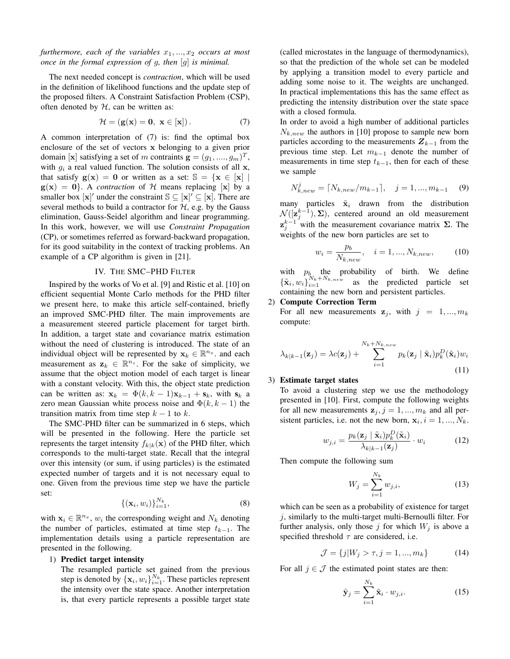*furthermore, each of the variables*  $x_1, \ldots, x_2$  *occurs at most once in the formal expression of* g*, then* [g] *is minimal.*

The next needed concept is *contraction*, which will be used in the definition of likelihood functions and the update step of the proposed filters. A Constraint Satisfaction Problem (CSP), often denoted by  $H$ , can be written as:

$$
\mathcal{H} = (\mathbf{g}(\mathbf{x}) = \mathbf{0}, \ \mathbf{x} \in [\mathbf{x}]). \tag{7}
$$

A common interpretation of (7) is: find the optimal box enclosure of the set of vectors x belonging to a given prior domain [x] satisfying a set of m contraints  $\mathbf{g} = (g_1, ..., g_m)^T$ , with  $g_i$  a real valued function. The solution consists of all x, that satisfy  $g(x) = 0$  or written as a set:  $\mathbb{S} = \{x \in [x] \mid$  $g(x) = 0$ . A *contraction* of H means replacing [x] by a smaller box  $[\mathbf{x}]'$  under the constraint  $\mathbb{S} \subseteq [\mathbf{x}] \subseteq [\mathbf{x}]$ . There are several methods to build a contractor for  $H$ , e.g. by the Gauss elimination, Gauss-Seidel algorithm and linear programming. In this work, however, we will use *Constraint Propagation* (CP), or sometimes referred as forward-backward propagation, for its good suitability in the context of tracking problems. An example of a CP algorithm is given in [21].

## IV. THE SMC–PHD FILTER

Inspired by the works of Vo et al. [9] and Ristic et al. [10] on efficient sequential Monte Carlo methods for the PHD filter we present here, to make this article self-contained, briefly an improved SMC-PHD filter. The main improvements are a measurement steered particle placement for target birth. In addition, a target state and covariance matrix estimation without the need of clustering is introduced. The state of an individual object will be represented by  $\mathbf{x}_k \in \mathbb{R}^{n_x}$ . and each measurement as  $z_k \in \mathbb{R}^{n_z}$ . For the sake of simplicity, we assume that the object motion model of each target is linear with a constant velocity. With this, the object state prediction can be written as:  $x_k = \Phi(k, k-1)x_{k-1} + s_k$ , with  $s_k$  a zero mean Gaussian white process noise and  $\Phi(k, k-1)$  the transition matrix from time step  $k - 1$  to k.

The SMC-PHD filter can be summarized in 6 steps, which will be presented in the following. Here the particle set represents the target intensity  $f_{k|k}(\mathbf{x})$  of the PHD filter, which corresponds to the multi-target state. Recall that the integral over this intensity (or sum, if using particles) is the estimated expected number of targets and it is not necessary equal to one. Given from the previous time step we have the particle set:

$$
\{(\mathbf{x}_i, w_i)\}_{i=1}^{N_k},\tag{8}
$$

with  $x_i \in \mathbb{R}^{n_x}$ ,  $w_i$  the corresponding weight and  $N_k$  denoting the number of particles, estimated at time step  $t_{k-1}$ . The implementation details using a particle representation are presented in the following.

# 1) Predict target intensity

The resampled particle set gained from the previous step is denoted by  $\{\mathbf x_i, w_i\}_{i=1}^{N_k}$ . These particles represent the intensity over the state space. Another interpretation is, that every particle represents a possible target state

(called microstates in the language of thermodynamics), so that the prediction of the whole set can be modeled by applying a transition model to every particle and adding some noise to it. The weights are unchanged. In practical implementations this has the same effect as predicting the intensity distribution over the state space with a closed formula.

In order to avoid a high number of additional particles  $N_{k,new}$  the authors in [10] propose to sample new born particles according to the measurements  $Z_{k-1}$  from the previous time step. Let  $m_{k-1}$  denote the number of measurements in time step  $t_{k-1}$ , then for each of these we sample

$$
N_{k,new}^{j} = \lceil N_{k,new}/m_{k-1} \rceil, \quad j = 1, ..., m_{k-1} \quad (9)
$$

many particles  $\tilde{\mathbf{x}}_i$  drawn from the distribution  $\mathcal{N}([\mathbf{z}_{j}^{k-1}), \Sigma)$ , centered around an old measurement  $\mathbf{z}_{j}^{k-1}$  with the measurement covariance matrix  $\Sigma$ . The weights of the new born particles are set to

$$
w_i = \frac{p_b}{N_{k,new}}, \quad i = 1, ..., N_{k,new}, \tag{10}
$$

with  $p_b$  the probability of birth. We define  ${\{\tilde{\mathbf{x}}_i, w_i\}}_{i=1}^{N_k+N_{k,new}}$  as the predicted particle set containing the new born and persistent particles.

# 2) Compute Correction Term

For all new measurements  $z_j$ , with  $j = 1, ..., m_k$ compute:

$$
\lambda_{k|k-1}(\mathbf{z}_j) = \lambda c(\mathbf{z}_j) + \sum_{i=1}^{N_k + N_{k,new}} p_k(\mathbf{z}_j \mid \tilde{\mathbf{x}}_i) p_k^D(\tilde{\mathbf{x}}_i) w_i
$$
\n(11)

#### 3) Estimate target states

To avoid a clustering step we use the methodology presented in [10]. First, compute the following weights for all new measurements  $z_j$ ,  $j = 1, ..., m_k$  and all persistent particles, i.e. not the new born,  $x_i$ ,  $i = 1, ..., N_k$ .

$$
w_{j,i} = \frac{p_k(\mathbf{z}_j \mid \tilde{\mathbf{x}}_i)p_k^D(\tilde{\mathbf{x}}_i)}{\lambda_{k|k-1}(\mathbf{z}_j)} \cdot w_i
$$
 (12)

Then compute the following sum

$$
W_j = \sum_{i=1}^{N_k} w_{j,i},
$$
\n(13)

which can be seen as a probability of existence for target  $j$ , similarly to the multi-target multi-Bernoulli filter. For further analysis, only those j for which  $W_j$  is above a specified threshold  $\tau$  are considered, i.e.

$$
\mathcal{J} = \{j | W_j > \tau, j = 1, ..., m_k\}
$$
 (14)

For all  $j \in \mathcal{J}$  the estimated point states are then:

$$
\hat{\mathbf{y}}_j = \sum_{i=1}^{N_k} \tilde{\mathbf{x}}_i \cdot w_{j,i}.
$$
 (15)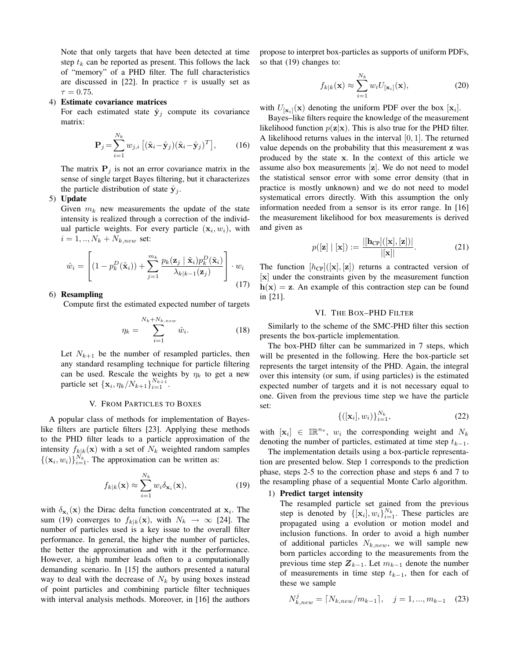Note that only targets that have been detected at time step  $t_k$  can be reported as present. This follows the lack of "memory" of a PHD filter. The full characteristics are discussed in [22]. In practice  $\tau$  is usually set as  $\tau = 0.75$ .

#### 4) Estimate covariance matrices

For each estimated state  $\hat{y}_j$  compute its covariance matrix:

$$
\mathbf{P}_{j} = \sum_{i=1}^{N_{k}} w_{j,i} \left[ (\tilde{\mathbf{x}}_{i} - \hat{\mathbf{y}}_{j})(\tilde{\mathbf{x}}_{i} - \hat{\mathbf{y}}_{j})^{T} \right],
$$
 (16)

The matrix  $P_i$  is not an error covariance matrix in the sense of single target Bayes filtering, but it characterizes the particle distribution of state  $\hat{\mathbf{y}}_i$ .

## 5) Update

Given  $m_k$  new measurements the update of the state intensity is realized through a correction of the individual particle weights. For every particle  $(x_i, w_i)$ , with  $i = 1, ..., N_k + N_{k,new}$  set:

$$
\hat{w}_i = \left[ (1 - p_k^D(\tilde{\mathbf{x}}_i)) + \sum_{j=1}^{m_k} \frac{p_k(\mathbf{z}_j \mid \tilde{\mathbf{x}}_i) p_k^D(\tilde{\mathbf{x}}_i)}{\lambda_{k|k-1}(\mathbf{z}_j)} \right] \cdot w_i
$$
\n(17)

# 6) Resampling

Compute first the estimated expected number of targets

$$
\eta_k = \sum_{i=1}^{N_k + N_{k,new}} \hat{w}_i.
$$
 (18)

Let  $N_{k+1}$  be the number of resampled particles, then any standard resampling technique for particle filtering can be used. Rescale the weights by  $\eta_k$  to get a new particle set  ${x_i, \eta_k/N_{k+1}}_{i=1}^{N_{k+1}}$ .

## V. FROM PARTICLES TO BOXES

A popular class of methods for implementation of Bayeslike filters are particle filters [23]. Applying these methods to the PHD filter leads to a particle approximation of the intensity  $f_{k|k}(\mathbf{x})$  with a set of  $N_k$  weighted random samples  $\{(\mathbf{x}_i, w_i)\}_{i=1}^{N_k}$ . The approximation can be written as:

$$
f_{k|k}(\mathbf{x}) \approx \sum_{i=1}^{N_k} w_i \delta_{\mathbf{x}_i}(\mathbf{x}),
$$
\n(19)

with  $\delta_{\mathbf{x}_i}(\mathbf{x})$  the Dirac delta function concentrated at  $\mathbf{x}_i$ . The sum (19) converges to  $f_{k|k}(\mathbf{x})$ , with  $N_k \to \infty$  [24]. The number of particles used is a key issue to the overall filter performance. In general, the higher the number of particles, the better the approximation and with it the performance. However, a high number leads often to a computationally demanding scenario. In [15] the authors presented a natural way to deal with the decrease of  $N_k$  by using boxes instead of point particles and combining particle filter techniques with interval analysis methods. Moreover, in [16] the authors propose to interpret box-particles as supports of uniform PDFs, so that (19) changes to:

$$
f_{k|k}(\mathbf{x}) \approx \sum_{i=1}^{N_k} w_i U_{[\mathbf{x}_i]}(\mathbf{x}),
$$
\n(20)

with  $U_{\lbrack \mathbf{x}_i \rbrack}(\mathbf{x})$  denoting the uniform PDF over the box  $\lbrack \mathbf{x}_i \rbrack$ .

Bayes–like filters require the knowledge of the measurement likelihood function  $p(\mathbf{z}|\mathbf{x})$ . This is also true for the PHD filter. A likelihood returns values in the interval  $[0, 1]$ . The returned value depends on the probability that this measurement z was produced by the state x. In the context of this article we assume also box measurements [z]. We do not need to model the statistical sensor error with some error density (that in practice is mostly unknown) and we do not need to model systematical errors directly. With this assumption the only information needed from a sensor is its error range. In [16] the measurement likelihood for box measurements is derived and given as

$$
p([z] | [x]) := \frac{|[h_{CP}]([x], [z])|}{|[x]|}.
$$
 (21)

The function  $[h_{CP}](\mathbf{x}), \mathbf{z}]$  returns a contracted version of [x] under the constraints given by the measurement function  $h(x) = z$ . An example of this contraction step can be found in [21].

## VI. THE BOX–PHD FILTER

Similarly to the scheme of the SMC-PHD filter this section presents the box-particle implementation.

The box-PHD filter can be summarized in 7 steps, which will be presented in the following. Here the box-particle set represents the target intensity of the PHD. Again, the integral over this intensity (or sum, if using particles) is the estimated expected number of targets and it is not necessary equal to one. Given from the previous time step we have the particle set:

$$
\{([\mathbf{x}_i], w_i)\}_{i=1}^{N_k},\tag{22}
$$

with  $[\mathbf{x}_i] \in \mathbb{IR}^{n_x}$ ,  $w_i$  the corresponding weight and  $N_k$ denoting the number of particles, estimated at time step  $t_{k-1}$ .

The implementation details using a box-particle representation are presented below. Step 1 corresponds to the prediction phase, steps 2-5 to the correction phase and steps 6 and 7 to the resampling phase of a sequential Monte Carlo algorithm.

# 1) Predict target intensity

The resampled particle set gained from the previous step is denoted by  $\{[\mathbf{x}_i], w_i\}_{i=1}^{N_k}$ . These particles are propagated using a evolution or motion model and inclusion functions. In order to avoid a high number of additional particles  $N_{k,new}$ , we will sample new born particles according to the measurements from the previous time step  $Z_{k-1}$ . Let  $m_{k-1}$  denote the number of measurements in time step  $t_{k-1}$ , then for each of these we sample

$$
N_{k,new}^{j} = \lceil N_{k,new}/m_{k-1} \rceil, \quad j = 1, ..., m_{k-1} \quad (23)
$$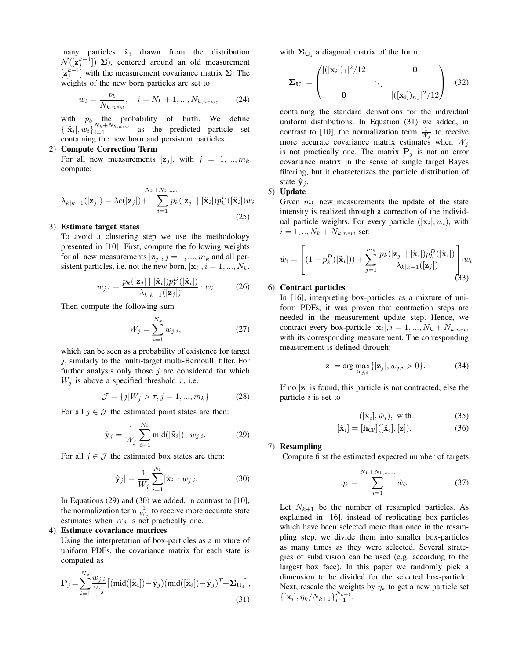many particles  $\tilde{\mathbf{x}}_i$  drawn from the distribution  $\mathcal{N}([\mathbf{z}_{j}^{k-1}]), \Sigma$ ), centered around an old measurement  $[\mathbf{z}_{j}^{k-1}]$  with the measurement covariance matrix  $\Sigma$ . The weights of the new born particles are set to

$$
w_i = \frac{p_b}{N_{k,new}}, \quad i = N_k + 1, ..., N_{k,new}, \tag{24}
$$

with  $p_b$  the probability of birth. We define  $\{[\tilde{\mathbf{x}}_i], w_i\}_{i=1}^{N_k+N_k, new}$  as the predicted particle set containing the new born and persistent particles.

#### 2) Compute Correction Term

For all new measurements  $[\mathbf{z}_j]$ , with  $j = 1, ..., m_k$ compute:

$$
\lambda_{k|k-1}([\mathbf{z}_j]) = \lambda c([\mathbf{z}_j]) + \sum_{i=1}^{N_k + N_{k,new}} p_k([\mathbf{z}_j] \mid [\tilde{\mathbf{x}}_i]) p_k^D([\tilde{\mathbf{x}}_i]) w_i
$$
\n(25)

## 3) Estimate target states

To avoid a clustering step we use the methodology presented in [10]. First, compute the following weights for all new measurements  $[\mathbf{z}_j]$ ,  $j = 1, ..., m_k$  and all persistent particles, i.e. not the new born,  $[\mathbf{x}_i], i = 1, ..., N_k$ .

$$
w_{j,i} = \frac{p_k([\mathbf{z}_j] \mid [\tilde{\mathbf{x}}_i]) p_k^D([\tilde{\mathbf{x}}_i])}{\lambda_{k|k-1}([\mathbf{z}_j])} \cdot w_i \tag{26}
$$

Then compute the following sum

$$
W_j = \sum_{i=1}^{N_k} w_{j,i},
$$
 (27)

which can be seen as a probability of existence for target  $j$ , similarly to the multi-target multi-Bernoulli filter. For further analysis only those  $j$  are considered for which  $W_j$  is above a specified threshold  $\tau$ , i.e.

$$
\mathcal{J} = \{j | W_j > \tau, j = 1, ..., m_k\}
$$
 (28)

For all  $j \in \mathcal{J}$  the estimated point states are then:

$$
\hat{\mathbf{y}}_j = \frac{1}{W_j} \sum_{i=1}^{N_k} \text{mid}([\tilde{\mathbf{x}}_i]) \cdot w_{j,i}.
$$
 (29)

For all  $j \in \mathcal{J}$  the estimated box states are then:

$$
[\hat{\mathbf{y}}_j] = \frac{1}{W_j} \sum_{i=1}^{N_k} [\tilde{\mathbf{x}}_i] \cdot w_{j,i}.
$$
 (30)

In Equations (29) and (30) we added, in contrast to [10], the normalization term  $\frac{1}{W_j}$  to receive more accurate state estimates when  $W_j$  is not practically one.

# 4) Estimate covariance matrices

Using the interpretation of box-particles as a mixture of uniform PDFs, the covariance matrix for each state is computed as

$$
\mathbf{P}_{j} = \sum_{i=1}^{N_{k}} \frac{w_{j,i}}{W_{j}} \left[ (\text{mid}([\tilde{\mathbf{x}}_{i}]) - \hat{\mathbf{y}}_{j})(\text{mid}([\tilde{\mathbf{x}}_{i}]) - \hat{\mathbf{y}}_{j})^{T} + \Sigma_{\mathbf{U}_{1}} \right],
$$
\n(31)

with  $\Sigma_{U_i}$  a diagonal matrix of the form

$$
\Sigma_{\mathbf{U_i}} = \begin{pmatrix} |([x_i])_1|^2/12 & 0 \\ & \ddots & \\ 0 & |([x_i])_{n_x}|^2/12 \end{pmatrix}
$$
 (32)

containing the standard derivations for the individual uniform distributions. In Equation (31) we added, in contrast to [10], the normalization term  $\frac{1}{W_j}$  to receive more accurate covariance matrix estimates when  $W_j$ is not practically one. The matrix  $P_j$  is not an error covariance matrix in the sense of single target Bayes filtering, but it characterizes the particle distribution of state  $\hat{\mathbf{y}}_i$ .

# 5) Update

Given  $m_k$  new measurements the update of the state intensity is realized through a correction of the individual particle weights. For every particle  $([\mathbf{x}_i], w_i)$ , with  $i = 1, ..., N_k + N_{k,new}$  set:

$$
\hat{w}_i = \left[ (1 - p_k^D([\tilde{\mathbf{x}}_i])) + \sum_{j=1}^{m_k} \frac{p_k([\mathbf{z}_j] \mid [\tilde{\mathbf{x}}_i]) p_k^D([\tilde{\mathbf{x}}_i])}{\lambda_{k|k-1}([\mathbf{z}_j])} \right] \cdot w_i
$$
\n(33)

# 6) Contract particles

In [16], interpreting box-particles as a mixture of uniform PDFs, it was proven that contraction steps are needed in the measurement update step. Hence, we contract every box-particle  $[\mathbf{x}_i], i = 1, ..., N_k + N_{k,new}$ with its corresponding measurement. The corresponding measurement is defined through:

$$
[\mathbf{z}] = \arg \max_{w_{j,i}} \{ [\mathbf{z}_j], w_{j,i} > 0 \}.
$$
 (34)

If no [z] is found, this particle is not contracted, else the particle  $i$  is set to

$$
([\hat{\mathbf{x}}_i], \hat{w}_i), \text{ with } (35)
$$

$$
[\hat{\mathbf{x}}_i] = [\mathbf{h}_{\mathrm{CP}}]([\tilde{\mathbf{x}}_i], [\mathbf{z}]). \tag{36}
$$

#### 7) Resampling

Compute first the estimated expected number of targets

$$
\eta_k = \sum_{i=1}^{N_k + N_{k,new}} \hat{w}_i.
$$
\n(37)

Let  $N_{k+1}$  be the number of resampled particles. As explained in [16], instead of replicating box-particles which have been selected more than once in the resampling step, we divide them into smaller box-particles as many times as they were selected. Several strategies of subdivision can be used (e.g. according to the largest box face). In this paper we randomly pick a dimension to be divided for the selected box-particle. Next, rescale the weights by  $\eta_k$  to get a new particle set  $\{[\mathbf{x}_i], \eta_k/N_{k+1}\}_{i=1}^{N_{k+1}}$ .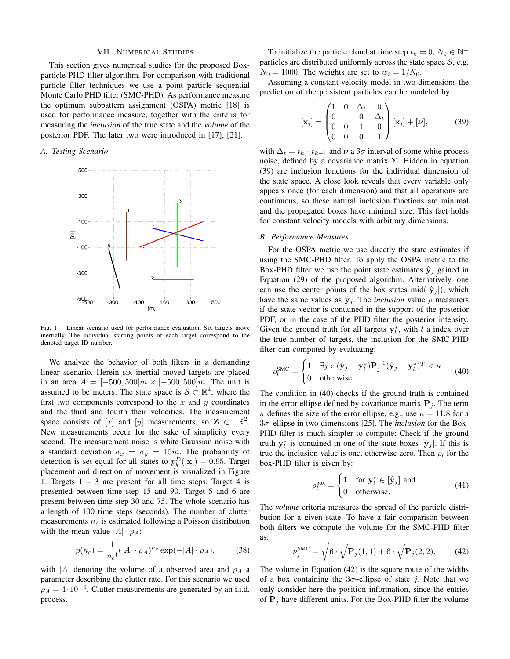#### VII. NUMERICAL STUDIES

This section gives numerical studies for the proposed Boxparticle PHD filter algorithm. For comparison with traditional particle filter techniques we use a point particle sequential Monte Carlo PHD filter (SMC-PHD). As performance measure the optimum subpattern assignment (OSPA) metric [18] is used for performance measure, together with the criteria for measuring the *inclusion* of the true state and the *volume* of the posterior PDF. The later two were introduced in [17], [21].

# *A. Testing Scenario*



Fig. 1. Linear scenario used for performance evaluation. Six targets move inertially. The individual starting points of each target correspond to the denoted target ID number.

We analyze the behavior of both filters in a demanding linear scenario. Herein six inertial moved targets are placed in an area  $A = [-500, 500]m \times [-500, 500]m$ . The unit is assumed to be meters. The state space is  $S \subset \mathbb{R}^4$ , where the first two components correspond to the  $x$  and  $y$  coordinates and the third and fourth their velocities. The measurement space consists of [x] and [y] measurements, so  $\mathbf{Z} \subset \mathbb{IR}^2$ . New measurements occur for the sake of simplicity every second. The measurement noise is white Gaussian noise with a standard deviation  $\sigma_x = \sigma_y = 15m$ . The probability of detection is set equal for all states to  $p_k^D([\mathbf{x}]) = 0.95$ . Target placement and direction of movement is visualized in Figure 1. Targets  $1 - 3$  are present for all time steps. Target 4 is presented between time step 15 and 90. Target 5 and 6 are present between time step 30 and 75. The whole scenario has a length of 100 time steps (seconds). The number of clutter measurements  $n_c$  is estimated following a Poisson distribution with the mean value  $|A| \cdot \rho_A$ :

$$
p(n_c) = \frac{1}{n_c!} (|A| \cdot \rho_A)^{n_c} \exp(-|A| \cdot \rho_A), \quad (38)
$$

with  $|A|$  denoting the volume of a observed area and  $\rho_A$  a parameter describing the clutter rate. For this scenario we used  $\rho_A = 4 \cdot 10^{-6}$ . Clutter measurements are generated by an i.i.d. process.

To initialize the particle cloud at time step  $t_k = 0$ ,  $N_0 \in \mathbb{N}^+$ particles are distributed uniformly across the state space  $S$ , e.g.  $N_0 = 1000$ . The weights are set to  $w_i = 1/N_0$ .

Assuming a constant velocity model in two dimensions the prediction of the persistent particles can be modeled by:

$$
\begin{bmatrix} \tilde{\mathbf{x}}_i \end{bmatrix} = \begin{pmatrix} 1 & 0 & \Delta_t & 0 \\ 0 & 1 & 0 & \Delta_t \\ 0 & 0 & 1 & 0 \\ 0 & 0 & 0 & 1 \end{pmatrix} [\mathbf{x}_i] + [\boldsymbol{\nu}], \tag{39}
$$

with  $\Delta_t = t_k - t_{k-1}$  and  $\nu$  a 3 $\sigma$  interval of some white process noise, defined by a covariance matrix  $\Sigma$ . Hidden in equation (39) are inclusion functions for the individual dimension of the state space. A close look reveals that every variable only appears once (for each dimension) and that all operations are continuous, so these natural inclusion functions are minimal and the propagated boxes have minimal size. This fact holds for constant velocity models with arbitrary dimensions.

#### *B. Performance Measures*

For the OSPA metric we use directly the state estimates if using the SMC-PHD filter. To apply the OSPA metric to the Box-PHD filter we use the point state estimates  $\hat{\mathbf{y}}_i$  gained in Equation (29) of the proposed algorithm. Alternatively, one can use the center points of the box states mid( $[\hat{\mathbf{y}}_i]$ ), which have the same values as  $\hat{y}_i$ . The *inclusion* value  $\rho$  measurers if the state vector is contained in the support of the posterior PDF, or in the case of the PHD filter the posterior intensity. Given the ground truth for all targets  $y_i^*$ , with l a index over the true number of targets, the inclusion for the SMC-PHD filter can computed by evaluating:

$$
\rho_l^{\text{SMC}} = \begin{cases} 1 & \exists j : (\hat{\mathbf{y}}_j - \mathbf{y}_l^*) \mathbf{P}_j^{-1} (\hat{\mathbf{y}}_j - \mathbf{y}_l^*)^T < \kappa \\ 0 & \text{otherwise.} \end{cases} \tag{40}
$$

The condition in (40) checks if the ground truth is contained in the error ellipse defined by covariance matrix  $P_i$ . The term  $\kappa$  defines the size of the error ellipse, e.g., use  $\kappa = 11.8$  for a 3σ–ellipse in two dimensions [25]. The *inclusion* for the Box-PHD filter is much simpler to compute: Check if the ground truth  $y_i^*$  is contained in one of the state boxes  $[\hat{y}_j]$ . If this is true the inclusion value is one, otherwise zero. Then  $\rho_l$  for the box-PHD filter is given by:

$$
\rho_l^{\text{box}} = \begin{cases} 1 & \text{for } \mathbf{y}_l^* \in [\hat{\mathbf{y}}_j] \text{ and} \\ 0 & \text{otherwise.} \end{cases} \tag{41}
$$

The *volume* criteria measures the spread of the particle distribution for a given state. To have a fair comparison between both filters we compute the volume for the SMC-PHD filter as:

$$
\nu_j^{\text{SMC}} = \sqrt{6 \cdot \sqrt{\mathbf{P}_j(1,1)} + 6 \cdot \sqrt{\mathbf{P}_j(2,2)}}.
$$
 (42)

The volume in Equation (42) is the square route of the widths of a box containing the  $3\sigma$ -ellipse of state *j*. Note that we only consider here the position information, since the entries of  $P_j$  have different units. For the Box-PHD filter the volume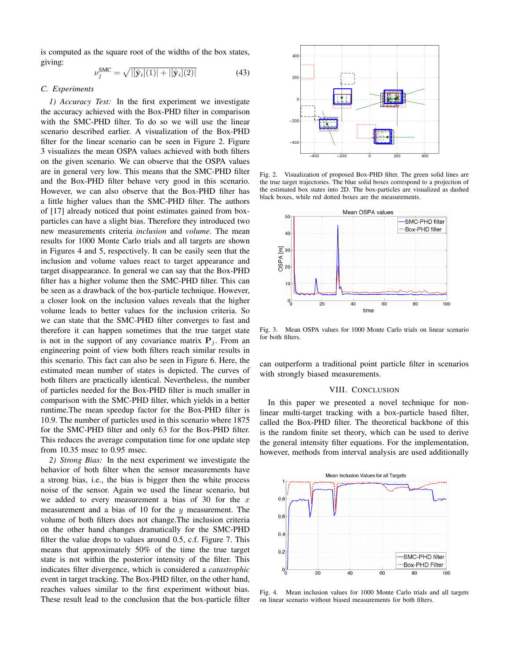is computed as the square root of the widths of the box states, giving:

$$
\nu_j^{\text{SMC}} = \sqrt{|[\hat{\mathbf{y}}_i](1)| + |[\hat{\mathbf{y}}_i](2)|}
$$
(43)

#### *C. Experiments*

*1) Accuracy Test:* In the first experiment we investigate the accuracy achieved with the Box-PHD filter in comparison with the SMC-PHD filter. To do so we will use the linear scenario described earlier. A visualization of the Box-PHD filter for the linear scenario can be seen in Figure 2. Figure 3 visualizes the mean OSPA values achieved with both filters on the given scenario. We can observe that the OSPA values are in general very low. This means that the SMC-PHD filter and the Box-PHD filter behave very good in this scenario. However, we can also observe that the Box-PHD filter has a little higher values than the SMC-PHD filter. The authors of [17] already noticed that point estimates gained from boxparticles can have a slight bias. Therefore they introduced two new measurements criteria *inclusion* and *volume*. The mean results for 1000 Monte Carlo trials and all targets are shown in Figures 4 and 5, respectively. It can be easily seen that the inclusion and volume values react to target appearance and target disappearance. In general we can say that the Box-PHD filter has a higher volume then the SMC-PHD filter. This can be seen as a drawback of the box-particle technique. However, a closer look on the inclusion values reveals that the higher volume leads to better values for the inclusion criteria. So we can state that the SMC-PHD filter converges to fast and therefore it can happen sometimes that the true target state is not in the support of any covariance matrix  $P_i$ . From an engineering point of view both filters reach similar results in this scenario. This fact can also be seen in Figure 6. Here, the estimated mean number of states is depicted. The curves of both filters are practically identical. Nevertheless, the number of particles needed for the Box-PHD filter is much smaller in comparison with the SMC-PHD filter, which yields in a better runtime.The mean speedup factor for the Box-PHD filter is 10.9. The number of particles used in this scenario where 1875 for the SMC-PHD filter and only 63 for the Box-PHD filter. This reduces the average computation time for one update step from 10.35 msec to 0.95 msec.

*2) Strong Bias:* In the next experiment we investigate the behavior of both filter when the sensor measurements have a strong bias, i.e., the bias is bigger then the white process noise of the sensor. Again we used the linear scenario, but we added to every measurement a bias of 30 for the  $x$ measurement and a bias of 10 for the  $y$  measurement. The volume of both filters does not change.The inclusion criteria on the other hand changes dramatically for the SMC-PHD filter the value drops to values around 0.5, c.f. Figure 7. This means that approximately 50% of the time the true target state is not within the posterior intensity of the filter. This indicates filter divergence, which is considered a *catastrophic* event in target tracking. The Box-PHD filter, on the other hand, reaches values similar to the first experiment without bias. These result lead to the conclusion that the box-particle filter



Fig. 2. Visualization of proposed Box-PHD filter. The green solid lines are the true target trajectories. The blue solid boxes correspond to a projection of the estimated box states into 2D. The box-particles are visualized as dashed black boxes, while red dotted boxes are the measurements.



Fig. 3. Mean OSPA values for 1000 Monte Carlo trials on linear scenario for both filters.

can outperform a traditional point particle filter in scenarios with strongly biased measurements.

#### VIII. CONCLUSION

In this paper we presented a novel technique for nonlinear multi-target tracking with a box-particle based filter, called the Box-PHD filter. The theoretical backbone of this is the random finite set theory, which can be used to derive the general intensity filter equations. For the implementation, however, methods from interval analysis are used additionally



Fig. 4. Mean inclusion values for 1000 Monte Carlo trials and all targets on linear scenario without biased measurements for both filters.